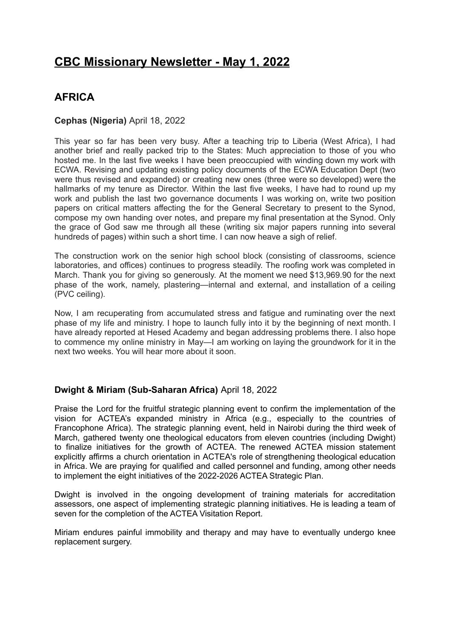# **CBC Missionary Newsletter - May 1, 2022**

# **AFRICA**

### **Cephas (Nigeria)** April 18, 2022

This year so far has been very busy. After a teaching trip to Liberia (West Africa), I had another brief and really packed trip to the States: Much appreciation to those of you who hosted me. In the last five weeks I have been preoccupied with winding down my work with ECWA. Revising and updating existing policy documents of the ECWA Education Dept (two were thus revised and expanded) or creating new ones (three were so developed) were the hallmarks of my tenure as Director. Within the last five weeks, I have had to round up my work and publish the last two governance documents I was working on, write two position papers on critical matters affecting the for the General Secretary to present to the Synod, compose my own handing over notes, and prepare my final presentation at the Synod. Only the grace of God saw me through all these (writing six major papers running into several hundreds of pages) within such a short time. I can now heave a sigh of relief.

The construction work on the senior high school block (consisting of classrooms, science laboratories, and offices) continues to progress steadily. The roofing work was completed in March. Thank you for giving so generously. At the moment we need \$13,969.90 for the next phase of the work, namely, plastering—internal and external, and installation of a ceiling (PVC ceiling).

Now, I am recuperating from accumulated stress and fatigue and ruminating over the next phase of my life and ministry. I hope to launch fully into it by the beginning of next month. I have already reported at Hesed Academy and began addressing problems there. I also hope to commence my online ministry in May—I am working on laying the groundwork for it in the next two weeks. You will hear more about it soon.

### **Dwight & Miriam (Sub-Saharan Africa)** April 18, 2022

Praise the Lord for the fruitful strategic planning event to confirm the implementation of the vision for ACTEA's expanded ministry in Africa (e.g., especially to the countries of Francophone Africa). The strategic planning event, held in Nairobi during the third week of March, gathered twenty one theological educators from eleven countries (including Dwight) to finalize initiatives for the growth of ACTEA. The renewed ACTEA mission statement explicitly affirms a church orientation in ACTEA's role of strengthening theological education in Africa. We are praying for qualified and called personnel and funding, among other needs to implement the eight initiatives of the 2022-2026 ACTEA Strategic Plan.

Dwight is involved in the ongoing development of training materials for accreditation assessors, one aspect of implementing strategic planning initiatives. He is leading a team of seven for the completion of the ACTEA Visitation Report.

Miriam endures painful immobility and therapy and may have to eventually undergo knee replacement surgery.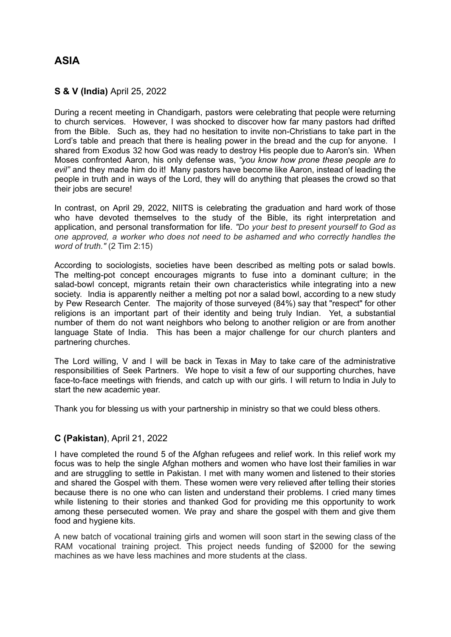# **ASIA**

### **S & V (India)** April 25, 2022

During a recent meeting in Chandigarh, pastors were celebrating that people were returning to church services. However, I was shocked to discover how far many pastors had drifted from the Bible. Such as, they had no hesitation to invite non-Christians to take part in the Lord's table and preach that there is healing power in the bread and the cup for anyone. I shared from Exodus 32 how God was ready to destroy His people due to Aaron's sin. When Moses confronted Aaron, his only defense was, *"you know how prone these people are to evil"* and they made him do it! Many pastors have become like Aaron, instead of leading the people in truth and in ways of the Lord, they will do anything that pleases the crowd so that their jobs are secure!

In contrast, on April 29, 2022, NIITS is celebrating the graduation and hard work of those who have devoted themselves to the study of the Bible, its right interpretation and application, and personal transformation for life. *"Do your best to present yourself to God as one approved, a worker who does not need to be ashamed and who correctly handles the word of truth."* (2 Tim 2:15)

According to sociologists, societies have been described as melting pots or salad bowls. The melting-pot concept encourages migrants to fuse into a dominant culture; in the salad-bowl concept, migrants retain their own characteristics while integrating into a new society. India is apparently neither a melting pot nor a salad bowl, according to a new study by Pew Research Center. The majority of those surveyed (84%) say that "respect" for other religions is an important part of their identity and being truly Indian. Yet, a substantial number of them do not want neighbors who belong to another religion or are from another language State of India. This has been a major challenge for our church planters and partnering churches.

The Lord willing, V and I will be back in Texas in May to take care of the administrative responsibilities of Seek Partners. We hope to visit a few of our supporting churches, have face-to-face meetings with friends, and catch up with our girls. I will return to India in July to start the new academic year.

Thank you for blessing us with your partnership in ministry so that we could bless others.

#### **C (Pakistan)**, April 21, 2022

I have completed the round 5 of the Afghan refugees and relief work. In this relief work my focus was to help the single Afghan mothers and women who have lost their families in war and are struggling to settle in Pakistan. I met with many women and listened to their stories and shared the Gospel with them. These women were very relieved after telling their stories because there is no one who can listen and understand their problems. I cried many times while listening to their stories and thanked God for providing me this opportunity to work among these persecuted women. We pray and share the gospel with them and give them food and hygiene kits.

A new batch of vocational training girls and women will soon start in the sewing class of the RAM vocational training project. This project needs funding of \$2000 for the sewing machines as we have less machines and more students at the class.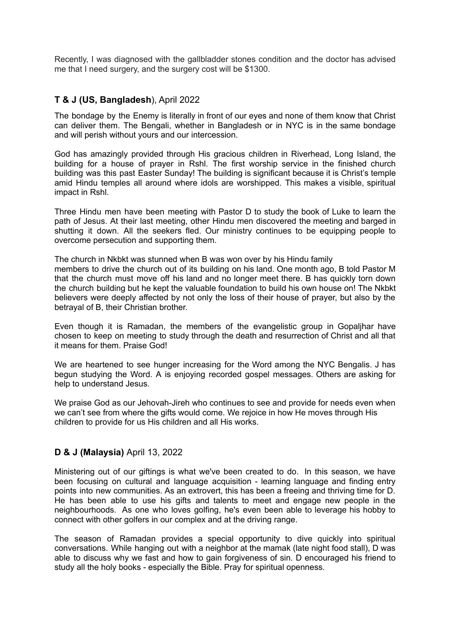Recently, I was diagnosed with the gallbladder stones condition and the doctor has advised me that I need surgery, and the surgery cost will be \$1300.

### **T & J (US, Bangladesh**), April 2022

The bondage by the Enemy is literally in front of our eyes and none of them know that Christ can deliver them. The Bengali, whether in Bangladesh or in NYC is in the same bondage and will perish without yours and our intercession.

God has amazingly provided through His gracious children in Riverhead, Long Island, the building for a house of prayer in Rshl. The first worship service in the finished church building was this past Easter Sunday! The building is significant because it is Christ's temple amid Hindu temples all around where idols are worshipped. This makes a visible, spiritual impact in Rshl.

Three Hindu men have been meeting with Pastor D to study the book of Luke to learn the path of Jesus. At their last meeting, other Hindu men discovered the meeting and barged in shutting it down. All the seekers fled. Our ministry continues to be equipping people to overcome persecution and supporting them.

The church in Nkbkt was stunned when B was won over by his Hindu family members to drive the church out of its building on his land. One month ago, B told Pastor M that the church must move off his land and no longer meet there. B has quickly torn down the church building but he kept the valuable foundation to build his own house on! The Nkbkt believers were deeply affected by not only the loss of their house of prayer, but also by the betrayal of B, their Christian brother.

Even though it is Ramadan, the members of the evangelistic group in Gopaljhar have chosen to keep on meeting to study through the death and resurrection of Christ and all that it means for them. Praise God!

We are heartened to see hunger increasing for the Word among the NYC Bengalis. J has begun studying the Word. A is enjoying recorded gospel messages. Others are asking for help to understand Jesus.

We praise God as our Jehovah-Jireh who continues to see and provide for needs even when we can't see from where the gifts would come. We rejoice in how He moves through His children to provide for us His children and all His works.

#### **D & J (Malaysia)** April 13, 2022

Ministering out of our giftings is what we've been created to do. In this season, we have been focusing on cultural and language acquisition - learning language and finding entry points into new communities. As an extrovert, this has been a freeing and thriving time for D. He has been able to use his gifts and talents to meet and engage new people in the neighbourhoods. As one who loves golfing, he's even been able to leverage his hobby to connect with other golfers in our complex and at the driving range.

The season of Ramadan provides a special opportunity to dive quickly into spiritual conversations. While hanging out with a neighbor at the mamak (late night food stall), D was able to discuss why we fast and how to gain forgiveness of sin. D encouraged his friend to study all the holy books - especially the Bible. Pray for spiritual openness.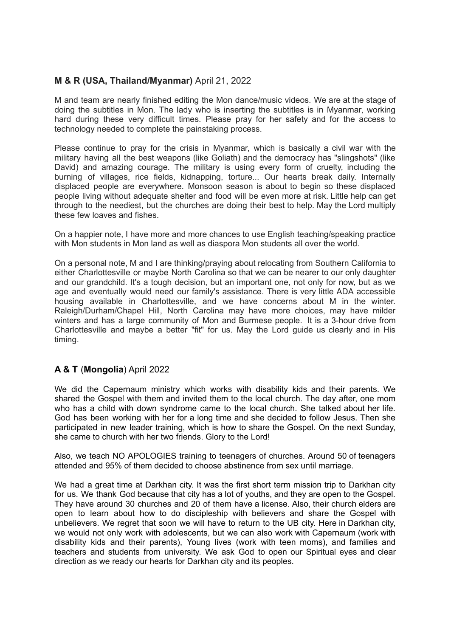## **M & R (USA, Thailand/Myanmar)** April 21, 2022

M and team are nearly finished editing the Mon dance/music videos. We are at the stage of doing the subtitles in Mon. The lady who is inserting the subtitles is in Myanmar, working hard during these very difficult times. Please pray for her safety and for the access to technology needed to complete the painstaking process.

Please continue to pray for the crisis in Myanmar, which is basically a civil war with the military having all the best weapons (like Goliath) and the democracy has "slingshots" (like David) and amazing courage. The military is using every form of cruelty, including the burning of villages, rice fields, kidnapping, torture... Our hearts break daily. Internally displaced people are everywhere. Monsoon season is about to begin so these displaced people living without adequate shelter and food will be even more at risk. Little help can get through to the neediest, but the churches are doing their best to help. May the Lord multiply these few loaves and fishes.

On a happier note, I have more and more chances to use English teaching/speaking practice with Mon students in Mon land as well as diaspora Mon students all over the world.

On a personal note, M and I are thinking/praying about relocating from Southern California to either Charlottesville or maybe North Carolina so that we can be nearer to our only daughter and our grandchild. It's a tough decision, but an important one, not only for now, but as we age and eventually would need our family's assistance. There is very little ADA accessible housing available in Charlottesville, and we have concerns about M in the winter. Raleigh/Durham/Chapel Hill, North Carolina may have more choices, may have milder winters and has a large community of Mon and Burmese people. It is a 3-hour drive from Charlottesville and maybe a better "fit" for us. May the Lord guide us clearly and in His timing.

### **A & T** (**Mongolia**) April 2022

We did the Capernaum ministry which works with disability kids and their parents. We shared the Gospel with them and invited them to the local church. The day after, one mom who has a child with down syndrome came to the local church. She talked about her life. God has been working with her for a long time and she decided to follow Jesus. Then she participated in new leader training, which is how to share the Gospel. On the next Sunday, she came to church with her two friends. Glory to the Lord!

Also, we teach NO APOLOGIES training to teenagers of churches. Around 50 of teenagers attended and 95% of them decided to choose abstinence from sex until marriage.

We had a great time at Darkhan city. It was the first short term mission trip to Darkhan city for us. We thank God because that city has a lot of youths, and they are open to the Gospel. They have around 30 churches and 20 of them have a license. Also, their church elders are open to learn about how to do discipleship with believers and share the Gospel with unbelievers. We regret that soon we will have to return to the UB city. Here in Darkhan city, we would not only work with adolescents, but we can also work with Capernaum (work with disability kids and their parents), Young lives (work with teen moms), and families and teachers and students from university. We ask God to open our Spiritual eyes and clear direction as we ready our hearts for Darkhan city and its peoples.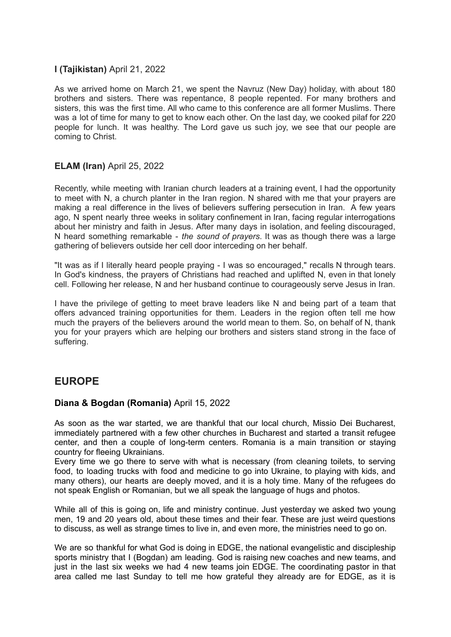## **I (Tajikistan)** April 21, 2022

As we arrived home on March 21, we spent the Navruz (New Day) holiday, with about 180 brothers and sisters. There was repentance, 8 people repented. For many brothers and sisters, this was the first time. All who came to this conference are all former Muslims. There was a lot of time for many to get to know each other. On the last day, we cooked pilaf for 220 people for lunch. It was healthy. The Lord gave us such joy, we see that our people are coming to Christ.

# **ELAM (Iran)** April 25, 2022

Recently, while meeting with Iranian church leaders at a training event, I had the opportunity to meet with N, a church planter in the Iran region. N shared with me that your prayers are making a real difference in the lives of believers suffering persecution in Iran. A few years ago, N spent nearly three weeks in solitary confinement in Iran, facing regular interrogations about her ministry and faith in Jesus. After many days in isolation, and feeling discouraged, N heard something remarkable - *the sound of prayers*. It was as though there was a large gathering of believers outside her cell door interceding on her behalf.

"It was as if I literally heard people praying - I was so encouraged," recalls N through tears. In God's kindness, the prayers of Christians had reached and uplifted N, even in that lonely cell. Following her release, N and her husband continue to courageously serve Jesus in Iran.

I have the privilege of getting to meet brave leaders like N and being part of a team that offers advanced training opportunities for them. Leaders in the region often tell me how much the prayers of the believers around the world mean to them. So, on behalf of N, thank you for your prayers which are helping our brothers and sisters stand strong in the face of suffering.

# **EUROPE**

### **Diana & Bogdan (Romania)** April 15, 2022

As soon as the war started, we are thankful that our local church, Missio Dei Bucharest, immediately partnered with a few other churches in Bucharest and started a transit refugee center, and then a couple of long-term centers. Romania is a main transition or staying country for fleeing Ukrainians.

Every time we go there to serve with what is necessary (from cleaning toilets, to serving food, to loading trucks with food and medicine to go into Ukraine, to playing with kids, and many others), our hearts are deeply moved, and it is a holy time. Many of the refugees do not speak English or Romanian, but we all speak the language of hugs and photos.

While all of this is going on, life and ministry continue. Just vesterday we asked two young men, 19 and 20 years old, about these times and their fear. These are just weird questions to discuss, as well as strange times to live in, and even more, the ministries need to go on.

We are so thankful for what God is doing in EDGE, the national evangelistic and discipleship sports ministry that I (Bogdan) am leading. God is raising new coaches and new teams, and just in the last six weeks we had 4 new teams join EDGE. The coordinating pastor in that area called me last Sunday to tell me how grateful they already are for EDGE, as it is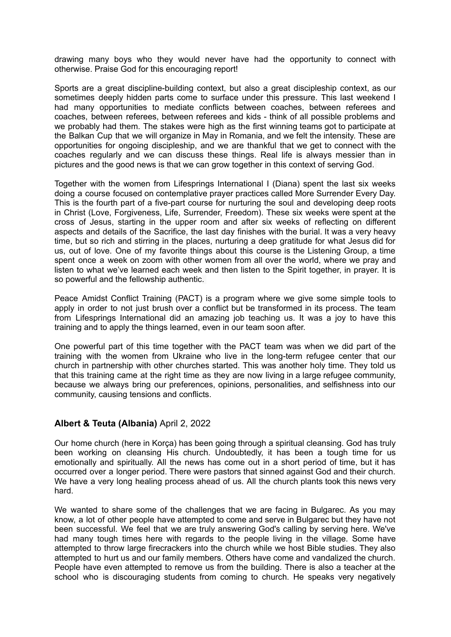drawing many boys who they would never have had the opportunity to connect with otherwise. Praise God for this encouraging report!

Sports are a great discipline-building context, but also a great discipleship context, as our sometimes deeply hidden parts come to surface under this pressure. This last weekend I had many opportunities to mediate conflicts between coaches, between referees and coaches, between referees, between referees and kids - think of all possible problems and we probably had them. The stakes were high as the first winning teams got to participate at the Balkan Cup that we will organize in May in Romania, and we felt the intensity. These are opportunities for ongoing discipleship, and we are thankful that we get to connect with the coaches regularly and we can discuss these things. Real life is always messier than in pictures and the good news is that we can grow together in this context of serving God.

Together with the women from Lifesprings International I (Diana) spent the last six weeks doing a course focused on contemplative prayer practices called More Surrender Every Day. This is the fourth part of a five-part course for nurturing the soul and developing deep roots in Christ (Love, Forgiveness, Life, Surrender, Freedom). These six weeks were spent at the cross of Jesus, starting in the upper room and after six weeks of reflecting on different aspects and details of the Sacrifice, the last day finishes with the burial. It was a very heavy time, but so rich and stirring in the places, nurturing a deep gratitude for what Jesus did for us, out of love. One of my favorite things about this course is the Listening Group, a time spent once a week on zoom with other women from all over the world, where we pray and listen to what we've learned each week and then listen to the Spirit together, in prayer. It is so powerful and the fellowship authentic.

Peace Amidst Conflict Training (PACT) is a program where we give some simple tools to apply in order to not just brush over a conflict but be transformed in its process. The team from Lifesprings International did an amazing job teaching us. It was a joy to have this training and to apply the things learned, even in our team soon after.

One powerful part of this time together with the PACT team was when we did part of the training with the women from Ukraine who live in the long-term refugee center that our church in partnership with other churches started. This was another holy time. They told us that this training came at the right time as they are now living in a large refugee community, because we always bring our preferences, opinions, personalities, and selfishness into our community, causing tensions and conflicts.

### **Albert & Teuta (Albania)** April 2, 2022

Our home church (here in Korça) has been going through a spiritual cleansing. God has truly been working on cleansing His church. Undoubtedly, it has been a tough time for us emotionally and spiritually. All the news has come out in a short period of time, but it has occurred over a longer period. There were pastors that sinned against God and their church. We have a very long healing process ahead of us. All the church plants took this news very hard.

We wanted to share some of the challenges that we are facing in Bulgarec. As you may know, a lot of other people have attempted to come and serve in Bulgarec but they have not been successful. We feel that we are truly answering God's calling by serving here. We've had many tough times here with regards to the people living in the village. Some have attempted to throw large firecrackers into the church while we host Bible studies. They also attempted to hurt us and our family members. Others have come and vandalized the church. People have even attempted to remove us from the building. There is also a teacher at the school who is discouraging students from coming to church. He speaks very negatively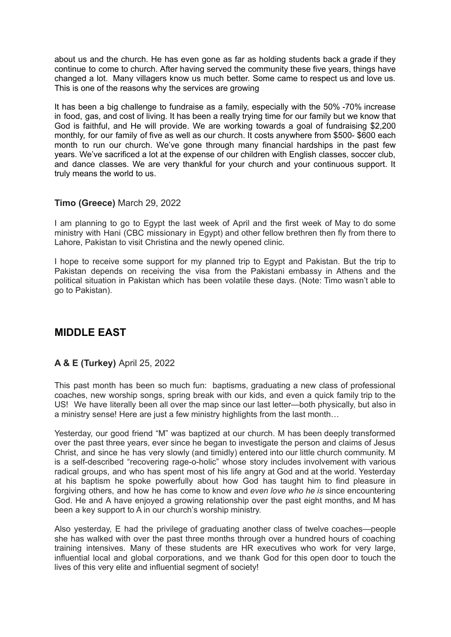about us and the church. He has even gone as far as holding students back a grade if they continue to come to church. After having served the community these five years, things have changed a lot. Many villagers know us much better. Some came to respect us and love us. This is one of the reasons why the services are growing

It has been a big challenge to fundraise as a family, especially with the 50% -70% increase in food, gas, and cost of living. It has been a really trying time for our family but we know that God is faithful, and He will provide. We are working towards a goal of fundraising \$2,200 monthly, for our family of five as well as our church. It costs anywhere from \$500- \$600 each month to run our church. We've gone through many financial hardships in the past few years. We've sacrificed a lot at the expense of our children with English classes, soccer club, and dance classes. We are very thankful for your church and your continuous support. It truly means the world to us.

### **Timo (Greece)** March 29, 2022

I am planning to go to Egypt the last week of April and the first week of May to do some ministry with Hani (CBC missionary in Egypt) and other fellow brethren then fly from there to Lahore, Pakistan to visit Christina and the newly opened clinic.

I hope to receive some support for my planned trip to Egypt and Pakistan. But the trip to Pakistan depends on receiving the visa from the Pakistani embassy in Athens and the political situation in Pakistan which has been volatile these days. (Note: Timo wasn't able to go to Pakistan).

# **MIDDLE EAST**

### **A & E (Turkey)** April 25, 2022

This past month has been so much fun: baptisms, graduating a new class of professional coaches, new worship songs, spring break with our kids, and even a quick family trip to the US! We have literally been all over the map since our last letter—both physically, but also in a ministry sense! Here are just a few ministry highlights from the last month…

Yesterday, our good friend "M" was baptized at our church. M has been deeply transformed over the past three years, ever since he began to investigate the person and claims of Jesus Christ, and since he has very slowly (and timidly) entered into our little church community. M is a self-described "recovering rage-o-holic" whose story includes involvement with various radical groups, and who has spent most of his life angry at God and at the world. Yesterday at his baptism he spoke powerfully about how God has taught him to find pleasure in forgiving others, and how he has come to know and *even love who he is* since encountering God. He and A have enjoyed a growing relationship over the past eight months, and M has been a key support to A in our church's worship ministry.

Also yesterday, E had the privilege of graduating another class of twelve coaches—people she has walked with over the past three months through over a hundred hours of coaching training intensives. Many of these students are HR executives who work for very large, influential local and global corporations, and we thank God for this open door to touch the lives of this very elite and influential segment of society!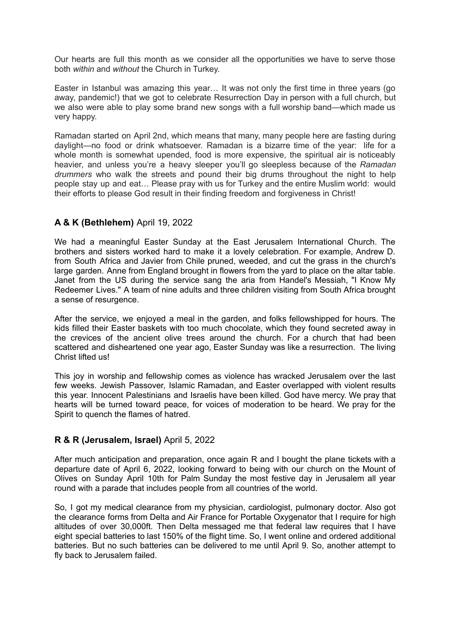Our hearts are full this month as we consider all the opportunities we have to serve those both *within* and *without* the Church in Turkey.

Easter in Istanbul was amazing this year… It was not only the first time in three years (go away, pandemic!) that we got to celebrate Resurrection Day in person with a full church, but we also were able to play some brand new songs with a full worship band—which made us very happy.

Ramadan started on April 2nd, which means that many, many people here are fasting during daylight—no food or drink whatsoever. Ramadan is a bizarre time of the year: life for a whole month is somewhat upended, food is more expensive, the spiritual air is noticeably heavier, and unless you're a heavy sleeper you'll go sleepless because of the *Ramadan drummers* who walk the streets and pound their big drums throughout the night to help people stay up and eat… Please pray with us for Turkey and the entire Muslim world: would their efforts to please God result in their finding freedom and forgiveness in Christ!

### **A & K (Bethlehem)** April 19, 2022

We had a meaningful Easter Sunday at the East Jerusalem International Church. The brothers and sisters worked hard to make it a lovely celebration. For example, Andrew D. from South Africa and Javier from Chile pruned, weeded, and cut the grass in the church's large garden. Anne from England brought in flowers from the yard to place on the altar table. Janet from the US during the service sang the aria from Handel's Messiah, "I Know My Redeemer Lives." A team of nine adults and three children visiting from South Africa brought a sense of resurgence.

After the service, we enjoyed a meal in the garden, and folks fellowshipped for hours. The kids filled their Easter baskets with too much chocolate, which they found secreted away in the crevices of the ancient olive trees around the church. For a church that had been scattered and disheartened one year ago, Easter Sunday was like a resurrection. The living Christ lifted us!

This joy in worship and fellowship comes as violence has wracked Jerusalem over the last few weeks. Jewish Passover, Islamic Ramadan, and Easter overlapped with violent results this year. Innocent Palestinians and Israelis have been killed. God have mercy. We pray that hearts will be turned toward peace, for voices of moderation to be heard. We pray for the Spirit to quench the flames of hatred.

### **R & R (Jerusalem, Israel)** April 5, 2022

After much anticipation and preparation, once again R and I bought the plane tickets with a departure date of April 6, 2022, looking forward to being with our church on the Mount of Olives on Sunday April 10th for Palm Sunday the most festive day in Jerusalem all year round with a parade that includes people from all countries of the world.

So, I got my medical clearance from my physician, cardiologist, pulmonary doctor. Also got the clearance forms from Delta and Air France for Portable Oxygenator that I require for high altitudes of over 30,000ft. Then Delta messaged me that federal law requires that I have eight special batteries to last 150% of the flight time. So, I went online and ordered additional batteries. But no such batteries can be delivered to me until April 9. So, another attempt to fly back to Jerusalem failed.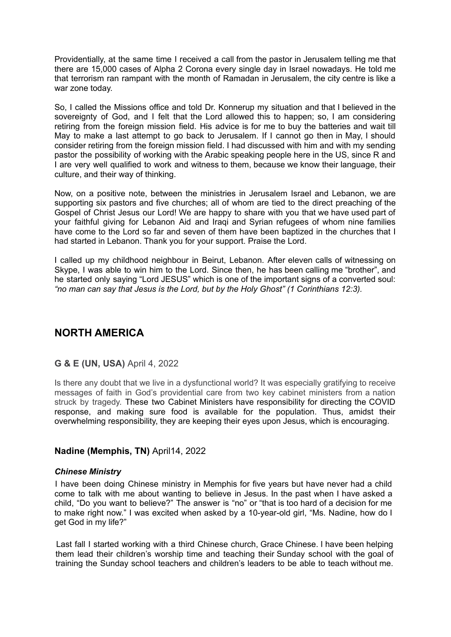Providentially, at the same time I received a call from the pastor in Jerusalem telling me that there are 15,000 cases of Alpha 2 Corona every single day in Israel nowadays. He told me that terrorism ran rampant with the month of Ramadan in Jerusalem, the city centre is like a war zone today.

So, I called the Missions office and told Dr. Konnerup my situation and that I believed in the sovereignty of God, and I felt that the Lord allowed this to happen; so, I am considering retiring from the foreign mission field. His advice is for me to buy the batteries and wait till May to make a last attempt to go back to Jerusalem. If I cannot go then in May, I should consider retiring from the foreign mission field. I had discussed with him and with my sending pastor the possibility of working with the Arabic speaking people here in the US, since R and I are very well qualified to work and witness to them, because we know their language, their culture, and their way of thinking.

Now, on a positive note, between the ministries in Jerusalem Israel and Lebanon, we are supporting six pastors and five churches; all of whom are tied to the direct preaching of the Gospel of Christ Jesus our Lord! We are happy to share with you that we have used part of your faithful giving for Lebanon Aid and Iraqi and Syrian refugees of whom nine families have come to the Lord so far and seven of them have been baptized in the churches that I had started in Lebanon. Thank you for your support. Praise the Lord.

I called up my childhood neighbour in Beirut, Lebanon. After eleven calls of witnessing on Skype, I was able to win him to the Lord. Since then, he has been calling me "brother", and he started only saying "Lord JESUS" which is one of the important signs of a converted soul: *"no man can say that Jesus is the Lord, but by the Holy Ghost" (1 Corinthians 12:3).*

# **NORTH AMERICA**

### **G & E (UN, USA)** April 4, 2022

Is there any doubt that we live in a dysfunctional world? It was especially gratifying to receive messages of faith in God's providential care from two key cabinet ministers from a nation struck by tragedy. These two Cabinet Ministers have responsibility for directing the COVID response, and making sure food is available for the population. Thus, amidst their overwhelming responsibility, they are keeping their eyes upon Jesus, which is encouraging.

#### **Nadine (Memphis, TN)** April14, 2022

#### *Chinese Ministry*

I have been doing Chinese ministry in Memphis for five years but have never had a child come to talk with me about wanting to believe in Jesus. In the past when I have asked a child, "Do you want to believe?" The answer is "no" or "that is too hard of a decision for me to make right now." I was excited when asked by a 10-year-old girl, "Ms. Nadine, how do I get God in my life?"

Last fall I started working with a third Chinese church, Grace Chinese. I have been helping them lead their children's worship time and teaching their Sunday school with the goal of training the Sunday school teachers and children's leaders to be able to teach without me.